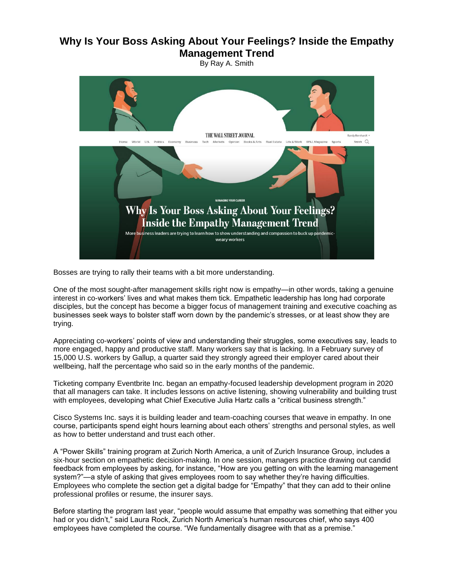## **Why Is Your Boss Asking About Your Feelings? Inside the Empathy Management Trend**

By Ray A. Smith



Bosses are trying to rally their teams with a bit more understanding.

One of the most sought-after management skills right now is empathy—in other words, taking a genuine interest in co-workers' lives and what makes them tick. Empathetic leadership has long had corporate disciples, but the concept has become a bigger focus of management training and executive coaching as businesses seek ways to bolster staff worn down by the pandemic's stresses, or at least show they are trying.

Appreciating co-workers' points of view and understanding their struggles, some executives say, leads to more engaged, happy and productive staff. Many workers say that is lacking. In a February survey of 15,000 U.S. workers by Gallup, a quarter said they strongly agreed their employer cared about their wellbeing, half the percentage who said so in the early months of the pandemic.

Ticketing company Eventbrite Inc. began an empathy-focused leadership development program in 2020 that all managers can take. It includes lessons on active listening, showing vulnerability and building trust with employees, developing what Chief Executive Julia Hartz calls a "critical business strength."

Cisco Systems Inc. says it is building leader and team-coaching courses that weave in empathy. In one course, participants spend eight hours learning about each others' strengths and personal styles, as well as how to better understand and trust each other.

A "Power Skills" training program at Zurich North America, a unit of Zurich Insurance Group, includes a six-hour section on empathetic decision-making. In one session, managers practice drawing out candid feedback from employees by asking, for instance, "How are you getting on with the learning management system?"—a style of asking that gives employees room to say whether they're having difficulties. Employees who complete the section get a digital badge for "Empathy" that they can add to their online professional profiles or resume, the insurer says.

Before starting the program last year, "people would assume that empathy was something that either you had or you didn't," said Laura Rock, Zurich North America's human resources chief, who says 400 employees have completed the course. "We fundamentally disagree with that as a premise."